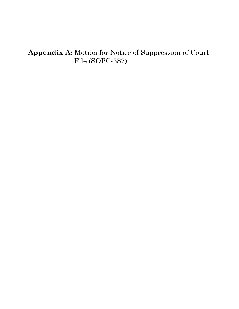## **Appendix A:** Motion for Notice of Suppression of Court File (SOPC-387)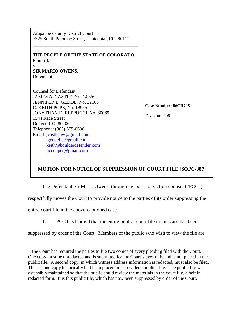| <b>Arapahoe County District Court</b><br>7325 South Potomac Street, Centennial, CO 80112<br>THE PEOPLE OF THE STATE OF COLORADO,<br>Plaintiff,<br>V.<br><b>SIR MARIO OWENS,</b><br>Defendant.                                                                                                                                             |                                              |
|-------------------------------------------------------------------------------------------------------------------------------------------------------------------------------------------------------------------------------------------------------------------------------------------------------------------------------------------|----------------------------------------------|
| <b>Counsel for Defendant:</b><br>JAMES A. CASTLE, No. 14026<br>JENNIFER L. GEDDE, No. 32163<br>C. KEITH POPE, No. 18955<br>JONATHAN D. REPPUCCI, No. 30069<br>1544 Race Street<br>Denver, CO 80206<br>Telephone: (303) 675-0500<br>Email: jcastlelaw@gmail.com<br>jgeddellc@gmail.com<br>keith@boulderdefender.com<br>jiccupper@gmail.com | <b>Case Number: 06CR705</b><br>Division: 206 |

## **MOTION FOR NOTICE OF SUPPRESSION OF COURT FILE [SOPC-387]**

The Defendant Sir Mario Owens, through his post-conviction counsel ("PCC"),

respectfully moves the Court to provide notice to the parties of its order suppressing the

entire court file in the above-captioned case.

[1](#page-1-0). PCC has learned that the entire public<sup>1</sup> court file in this case has been

suppressed by order of the Court. Members of the public who wish to view the file are

<span id="page-1-0"></span><sup>&</sup>lt;sup>1</sup> The Court has required the parties to file two copies of every pleading filed with the Court. One copy must be unredacted and is submitted for the Court's eyes only and is not placed in the public file. A second copy, in which witness address information is redacted, must also be filed. This second copy historically had been placed in a so-called "public" file. The public file was ostensibly maintained so that the public could review the materials in the court file, albeit in redacted form. It is this public file, which has now been suppressed by order of the Court.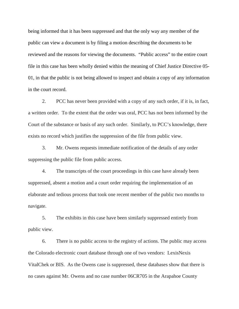being informed that it has been suppressed and that the only way any member of the public can view a document is by filing a motion describing the documents to be reviewed and the reasons for viewing the documents. "Public access" to the entire court file in this case has been wholly denied within the meaning of Chief Justice Directive 05- 01, in that the public is not being allowed to inspect and obtain a copy of any information in the court record.

2. PCC has never been provided with a copy of any such order, if it is, in fact, a written order. To the extent that the order was oral, PCC has not been informed by the Court of the substance or basis of any such order. Similarly, to PCC's knowledge, there exists no record which justifies the suppression of the file from public view.

3. Mr. Owens requests immediate notification of the details of any order suppressing the public file from public access.

4. The transcripts of the court proceedings in this case have already been suppressed, absent a motion and a court order requiring the implementation of an elaborate and tedious process that took one recent member of the public two months to navigate.

5. The exhibits in this case have been similarly suppressed entirely from public view.

6. There is no public access to the registry of actions. The public may access the Colorado electronic court database through one of two vendors: LexisNexis VitalChek or BIS. As the Owens case is suppressed, these databases show that there is no cases against Mr. Owens and no case number 06CR705 in the Arapahoe County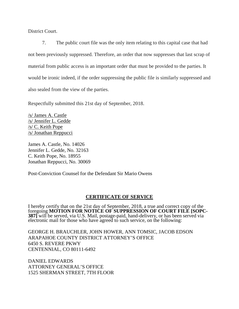District Court.

7. The public court file was the only item relating to this capital case that had not been previously suppressed. Therefore, an order that now suppresses that last scrap of material from public access is an important order that must be provided to the parties. It would be ironic indeed, if the order suppressing the public file is similarly suppressed and also sealed from the view of the parties.

Respectfully submitted this 21st day of September, 2018.

/s/ James A. Castle /s/ Jennifer L. Gedde /s/ C. Keith Pope /s/ Jonathan Reppucci

James A. Castle, No. 14026 Jennifer L. Gedde, No. 32163 C. Keith Pope, No. 18955 Jonathan Reppucci, No. 30069

Post-Conviction Counsel for the Defendant Sir Mario Owens

## **CERTIFICATE OF SERVICE**

I hereby certify that on the 21st day of September, 2018, a true and correct copy of the foregoing **MOTION FOR NOTICE OF SUPPRESSION OF COURT FILE [SOPC**foregoing **MOTION FOR NOTICE OF SUPPRESSION OF COURT FILE [SOPC- 387]** will be served, via U.S. Mail, postage-paid, hand-delivery, or has been served via electronic mail for those who have agreed to such service, on the following:

GEORGE H. BRAUCHLER, JOHN HOWER, ANN TOMSIC, JACOB EDSON ARAPAHOE COUNTY DISTRICT ATTORNEY'S OFFICE 6450 S. REVERE PKWY CENTENNIAL, CO 80111-6492

DANIEL EDWARDS ATTORNEY GENERAL'S OFFICE 1525 SHERMAN STREET, 7TH FLOOR